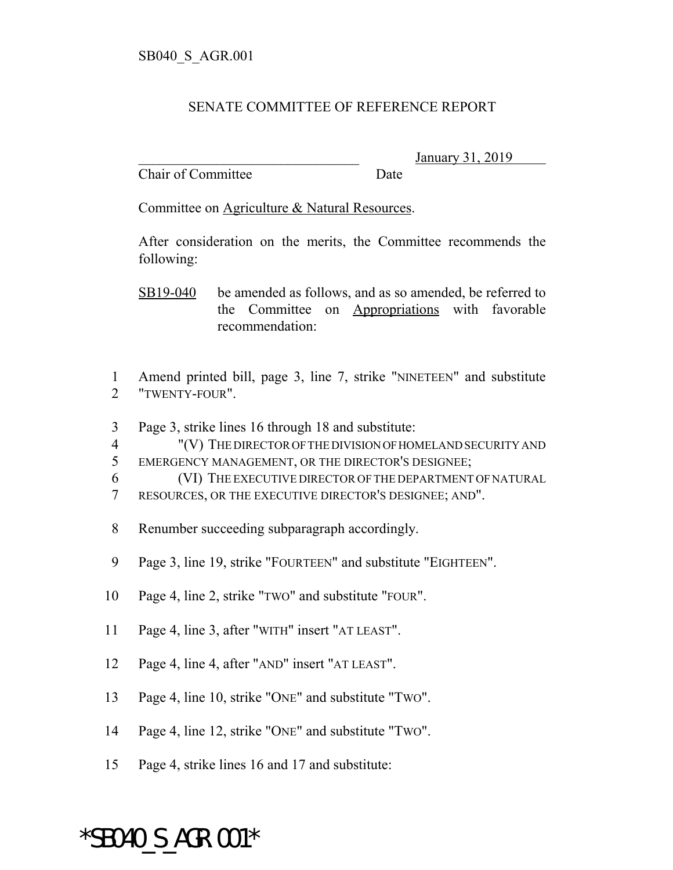## SENATE COMMITTEE OF REFERENCE REPORT

Chair of Committee Date

\_\_\_\_\_\_\_\_\_\_\_\_\_\_\_\_\_\_\_\_\_\_\_\_\_\_\_\_\_\_\_ January 31, 2019

Committee on Agriculture & Natural Resources.

After consideration on the merits, the Committee recommends the following:

SB19-040 be amended as follows, and as so amended, be referred to the Committee on Appropriations with favorable recommendation:

1 Amend printed bill, page 3, line 7, strike "NINETEEN" and substitute 2 "TWENTY-FOUR".

3 Page 3, strike lines 16 through 18 and substitute:

4 "(V) THE DIRECTOR OF THE DIVISION OF HOMELAND SECURITY AND 5 EMERGENCY MANAGEMENT, OR THE DIRECTOR'S DESIGNEE;

6 (VI) THE EXECUTIVE DIRECTOR OF THE DEPARTMENT OF NATURAL 7 RESOURCES, OR THE EXECUTIVE DIRECTOR'S DESIGNEE; AND".

- 8 Renumber succeeding subparagraph accordingly.
- 9 Page 3, line 19, strike "FOURTEEN" and substitute "EIGHTEEN".
- 10 Page 4, line 2, strike "TWO" and substitute "FOUR".
- 11 Page 4, line 3, after "WITH" insert "AT LEAST".
- 12 Page 4, line 4, after "AND" insert "AT LEAST".
- 13 Page 4, line 10, strike "ONE" and substitute "TWO".
- 14 Page 4, line 12, strike "ONE" and substitute "TWO".
- 15 Page 4, strike lines 16 and 17 and substitute:

## \*SB040\_S\_AGR.001\*